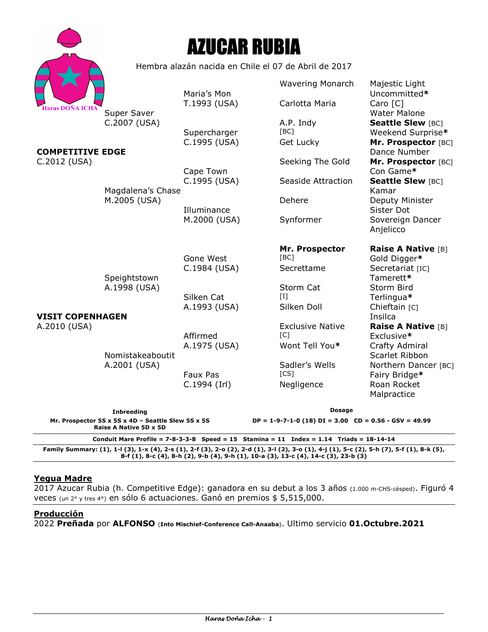|                                                                                                                             |                                                      | <b>AZUCAR RUBIA</b>          |                                                                              |                                                                      |
|-----------------------------------------------------------------------------------------------------------------------------|------------------------------------------------------|------------------------------|------------------------------------------------------------------------------|----------------------------------------------------------------------|
|                                                                                                                             | Hembra alazán nacida en Chile el 07 de Abril de 2017 |                              |                                                                              |                                                                      |
| <b>Haras DOÑA ICHA</b><br><b>COMPETITIVE EDGE</b><br>C.2012 (USA)                                                           |                                                      | Maria's Mon                  | <b>Wavering Monarch</b>                                                      | Majestic Light<br>Uncommitted*                                       |
|                                                                                                                             | Super Saver<br>C.2007 (USA)                          | T.1993 (USA)                 | Carlotta Maria                                                               | Caro [C]<br><b>Water Malone</b>                                      |
|                                                                                                                             |                                                      | Supercharger<br>C.1995 (USA) | A.P. Indy<br>[BC]<br>Get Lucky                                               | <b>Seattle Slew [BC]</b><br>Weekend Surprise*<br>Mr. Prospector [BC] |
|                                                                                                                             |                                                      |                              | Seeking The Gold                                                             | Dance Number<br>Mr. Prospector [BC]                                  |
|                                                                                                                             | Magdalena's Chase                                    | Cape Town<br>C.1995 (USA)    | Seaside Attraction                                                           | Con Game*<br><b>Seattle Slew [BC]</b><br>Kamar                       |
|                                                                                                                             | M.2005 (USA)                                         | Illuminance                  | Dehere                                                                       | Deputy Minister<br>Sister Dot                                        |
|                                                                                                                             |                                                      | M.2000 (USA)                 | Synformer                                                                    | Sovereign Dancer<br>Anjelicco                                        |
|                                                                                                                             |                                                      | Gone West                    | Mr. Prospector<br>[BC]                                                       | Raise A Native [B]<br>Gold Digger*                                   |
|                                                                                                                             | Speightstown<br>A.1998 (USA)                         | C.1984 (USA)                 | Secrettame                                                                   | Secretariat [IC]<br>Tamerett*                                        |
|                                                                                                                             |                                                      | Silken Cat<br>A.1993 (USA)   | Storm Cat<br>$\mathbf{H}$<br>Silken Doll                                     | Storm Bird<br>Terlingua*<br>Chieftain [C]                            |
| <b>VISIT COPENHAGEN</b>                                                                                                     |                                                      |                              |                                                                              | Insilca                                                              |
| A.2010 (USA)                                                                                                                |                                                      | Affirmed                     | <b>Exclusive Native</b><br>$\lceil C \rceil$                                 | <b>Raise A Native [B]</b><br>Exclusive*                              |
|                                                                                                                             | Nomistakeaboutit                                     | A.1975 (USA)                 | Wont Tell You*                                                               | Crafty Admiral<br>Scarlet Ribbon                                     |
|                                                                                                                             | A.2001 (USA)                                         | <b>Faux Pas</b>              | Sadler's Wells<br>[CS]                                                       | Northern Dancer [BC]<br>Fairy Bridge*                                |
|                                                                                                                             |                                                      | C.1994 (Irl)                 | Negligence                                                                   | Roan Rocket<br>Malpractice                                           |
| <b>Inbreeding</b><br>Mr. Prospector 5S x 5S x 4D - Seattle Slew 5S x 5S                                                     |                                                      |                              | <b>Dosage</b><br>$DP = 1-9-7-1-0$ (18) $DI = 3.00$ $CD = 0.56 - GSV = 49.99$ |                                                                      |
| Raise A Native 5D x 5D<br>Conduit Mare Profile = $7 - 8 - 3 - 3 - 8$ Speed = 15 Stamina = 11 Index = 1.14 Triads = 18-14-14 |                                                      |                              |                                                                              |                                                                      |

**Family Summary: (1), 1-l (3), 1-x (4), 2-s (1), 2-f (3), 2-o (2), 2-d (1), 3-l (2), 3-o (1), 4-j (1), 5-c (2), 5-h (7), 5-f (1), 8-k (5), 8-f (1), 8-c (4), 8-h (2), 9-b (4), 9-h (1), 10-a (3), 13-c (4), 14-c (3), 23-b (3)** 

# **Yegua Madre**

2017 Azucar Rubia (h. Competitive Edge): ganadora en su debut a los 3 años (1.000 m-CHS-césped). Figuró 4 veces (un 2° y tres 4°) en sólo 6 actuaciones. Ganó en premios \$ 5,515,000.

#### **Producción**

2022 **Preñada** por **ALFONSO** (**Into Mischief-Conference Call-Anaaba**). Ultimo servicio **01.Octubre.2021**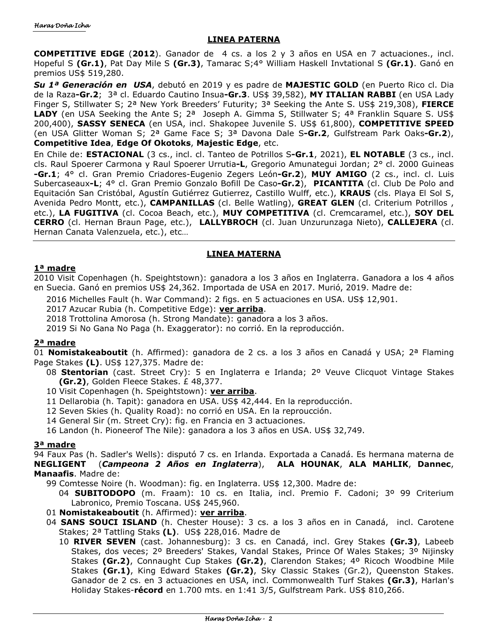## **LINEA PATERNA**

**COMPETITIVE EDGE** (**2012**). Ganador de 4 cs. a los 2 y 3 años en USA en 7 actuaciones., incl. Hopeful S **(Gr.1)**, Pat Day Mile S **(Gr.3)**, Tamarac S;4° William Haskell Invtational S **(Gr.1)**. Ganó en premios US\$ 519,280.

*Su 1ª Generación en USA*, debutó en 2019 y es padre de **MAJESTIC GOLD** (en Puerto Rico cl. Dia de la Raza**-Gr.2**; 3ª cl. Eduardo Cautino Insua**-Gr.3**. US\$ 39,582), **MY ITALIAN RABBI** (en USA Lady Finger S, Stillwater S; 2ª New York Breeders' Futurity; 3ª Seeking the Ante S. US\$ 219,308), **FIERCE**  LADY (en USA Seeking the Ante S; 2<sup>a</sup> Joseph A. Gimma S, Stillwater S; 4<sup>a</sup> Franklin Square S. US\$ 200,400), **SASSY SENECA** (en USA, incl. Shakopee Juvenile S. US\$ 61,800), **COMPETITIVE SPEED** (en USA Glitter Woman S; 2ª Game Face S; 3ª Davona Dale S**-Gr.2**, Gulfstream Park Oaks**-Gr.2**), **Competitive Idea**, **Edge Of Okotoks**, **Majestic Edge**, etc.

En Chile de: **ESTACIONAL** (3 cs., incl. cl. Tanteo de Potrillos S**-Gr.1**, 2021), **EL NOTABLE** (3 cs., incl. cls. Raul Spoerer Carmona y Raul Spoerer Urrutia**-L**, Gregorio Amunategui Jordan; 2° cl. 2000 Guineas **-Gr.1**; 4° cl. Gran Premio Criadores-Eugenio Zegers León**-Gr.2**), **MUY AMIGO** (2 cs., incl. cl. Luis Subercaseaux**-L**; 4° cl. Gran Premio Gonzalo Bofill De Caso**-Gr.2**), **PICANTITA** (cl. Club De Polo and Equitación San Cristóbal, Agustín Gutiérrez Gutierrez, Castillo Wulff, etc.), **KRAUS** (cls. Playa El Sol S, Avenida Pedro Montt, etc.), **CAMPANILLAS** (cl. Belle Watling), **GREAT GLEN** (cl. Criterium Potrillos , etc.), **LA FUGITIVA** (cl. Cocoa Beach, etc.), **MUY COMPETITIVA** (cl. Cremcaramel, etc.), **SOY DEL CERRO** (cl. Hernan Braun Page, etc.), **LALLYBROCH** (cl. Juan Unzurunzaga Nieto), **CALLEJERA** (cl. Hernan Canata Valenzuela, etc.), etc…

## **LINEA MATERNA**

## **1ª madre**

2010 Visit Copenhagen (h. Speightstown): ganadora a los 3 años en Inglaterra. Ganadora a los 4 años en Suecia. Ganó en premios US\$ 24,362. Importada de USA en 2017. Murió, 2019. Madre de:

2016 Michelles Fault (h. War Command): 2 figs. en 5 actuaciones en USA. US\$ 12,901.

2017 Azucar Rubia (h. Competitive Edge): **ver arriba**.

2018 Trottolina Amorosa (h. Strong Mandate): ganadora a los 3 años.

2019 Si No Gana No Paga (h. Exaggerator): no corrió. En la reproducción.

## **2ª madre**

01 **Nomistakeaboutit** (h. Affirmed): ganadora de 2 cs. a los 3 años en Canadá y USA; 2ª Flaming Page Stakes **(L)**. US\$ 127,375. Madre de:

- 08 **Stentorian** (cast. Street Cry): 5 en Inglaterra e Irlanda; 2º Veuve Clicquot Vintage Stakes **(Gr.2)**, Golden Fleece Stakes. £ 48,377.
- 10 Visit Copenhagen (h. Speightstown): **ver arriba**.
- 11 Dellarobia (h. Tapit): ganadora en USA. US\$ 42,444. En la reproducción.

12 Seven Skies (h. Quality Road): no corrió en USA. En la reproucción.

14 General Sir (m. Street Cry): fig. en Francia en 3 actuaciones.

16 Landon (h. Pioneerof The Nile): ganadora a los 3 años en USA. US\$ 32,749.

#### **3ª madre**

94 Faux Pas (h. Sadler's Wells): disputó 7 cs. en Irlanda. Exportada a Canadá. Es hermana materna de **NEGLIGENT** (*Campeona 2 Años en Inglaterra*), **ALA HOUNAK**, **ALA MAHLIK**, **Dannec**, **Manaafis**. Madre de:

99 Comtesse Noire (h. Woodman): fig. en Inglaterra. US\$ 12,300. Madre de:

- 04 **SUBITODOPO** (m. Fraam): 10 cs. en Italia, incl. Premio F. Cadoni; 3º 99 Criterium Labronico, Premio Toscana. US\$ 245,960.
- 01 **Nomistakeaboutit** (h. Affirmed): **ver arriba**.
- 04 **SANS SOUCI ISLAND** (h. Chester House): 3 cs. a los 3 años en in Canadá, incl. Carotene Stakes; 2ª Tattling Staks **(L)**. US\$ 228,016. Madre de
	- 10 **RIVER SEVEN** (cast. Johannesburg): 3 cs. en Canadá, incl. Grey Stakes **(Gr.3)**, Labeeb Stakes, dos veces; 2º Breeders' Stakes, Vandal Stakes, Prince Of Wales Stakes; 3º Nijinsky Stakes **(Gr.2)**, Connaught Cup Stakes **(Gr.2)**, Clarendon Stakes; 4º Ricoch Woodbine Mile Stakes **(Gr.1)**, King Edward Stakes **(Gr.2)**, Sky Classic Stakes (Gr.2), Queenston Stakes. Ganador de 2 cs. en 3 actuaciones en USA, incl. Commonwealth Turf Stakes **(Gr.3)**, Harlan's Holiday Stakes-**récord** en 1.700 mts. en 1:41 3/5, Gulfstream Park. US\$ 810,266.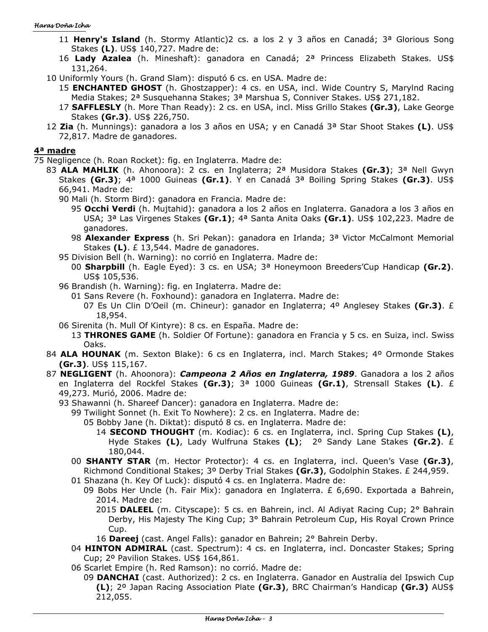- 11 **Henry's Island** (h. Stormy Atlantic)2 cs. a los 2 y 3 años en Canadá; 3ª Glorious Song Stakes **(L)**. US\$ 140,727. Madre de:
- 16 **Lady Azalea** (h. Mineshaft): ganadora en Canadá; 2ª Princess Elizabeth Stakes. US\$ 131,264.
- 10 Uniformly Yours (h. Grand Slam): disputó 6 cs. en USA. Madre de:
	- 15 **ENCHANTED GHOST** (h. Ghostzapper): 4 cs. en USA, incl. Wide Country S, Marylnd Racing Media Stakes; 2<sup>a</sup> Susquehanna Stakes; 3<sup>a</sup> Marshua S, Conniver Stakes. US\$ 271,182.
	- 17 **SAFFLESLY** (h. More Than Ready): 2 cs. en USA, incl. Miss Grillo Stakes **(Gr.3)**, Lake George Stakes **(Gr.3)**. US\$ 226,750.
- 12 **Zia** (h. Munnings): ganadora a los 3 años en USA; y en Canadá 3ª Star Shoot Stakes **(L)**. US\$ 72,817. Madre de ganadores.

#### **4ª madre**

75 Negligence (h. Roan Rocket): fig. en Inglaterra. Madre de:

- 83 **ALA MAHLIK** (h. Ahonoora): 2 cs. en Inglaterra; 2ª Musidora Stakes **(Gr.3)**; 3ª Nell Gwyn Stakes **(Gr.3)**; 4ª 1000 Guineas **(Gr.1)**. Y en Canadá 3ª Boiling Spring Stakes **(Gr.3)**. US\$ 66,941. Madre de:
	- 90 Mali (h. Storm Bird): ganadora en Francia. Madre de:
		- 95 **Occhi Verdi** (h. Mujtahid): ganadora a los 2 años en Inglaterra. Ganadora a los 3 años en USA; 3ª Las Virgenes Stakes **(Gr.1)**; 4ª Santa Anita Oaks **(Gr.1)**. US\$ 102,223. Madre de ganadores.
		- 98 **Alexander Express** (h. Sri Pekan): ganadora en Irlanda; 3ª Victor McCalmont Memorial Stakes **(L)**. £ 13,544. Madre de ganadores.
	- 95 Division Bell (h. Warning): no corrió en Inglaterra. Madre de:
		- 00 **Sharpbill** (h. Eagle Eyed): 3 cs. en USA; 3ª Honeymoon Breeders'Cup Handicap **(Gr.2)**. US\$ 105,536.
	- 96 Brandish (h. Warning): fig. en Inglaterra. Madre de:
		- 01 Sans Revere (h. Foxhound): ganadora en Inglaterra. Madre de:
			- 07 Es Un Clin D'Oeil (m. Chineur): ganador en Inglaterra; 4º Anglesey Stakes **(Gr.3)**. £ 18,954.
	- 06 Sirenita (h. Mull Of Kintyre): 8 cs. en España. Madre de:
		- 13 **THRONES GAME** (h. Soldier Of Fortune): ganadora en Francia y 5 cs. en Suiza, incl. Swiss Oaks.
- 84 **ALA HOUNAK** (m. Sexton Blake): 6 cs en Inglaterra, incl. March Stakes; 4º Ormonde Stakes **(Gr.3)**. US\$ 115,167.
- 87 **NEGLIGENT** (h. Ahoonora): *Campeona 2 Años en Inglaterra, 1989*. Ganadora a los 2 años en Inglaterra del Rockfel Stakes **(Gr.3)**; 3ª 1000 Guineas **(Gr.1)**, Strensall Stakes **(L)**. £ 49,273. Murió, 2006. Madre de:
	- 93 Shawanni (h. Shareef Dancer): ganadora en Inglaterra. Madre de:
		- 99 Twilight Sonnet (h. Exit To Nowhere): 2 cs. en Inglaterra. Madre de:
			- 05 Bobby Jane (h. Diktat): disputó 8 cs. en Inglaterra. Madre de:
				- 14 **SECOND THOUGHT** (m. Kodiac): 6 cs. en Inglaterra, incl. Spring Cup Stakes **(L)**, Hyde Stakes **(L)**, Lady Wulfruna Stakes **(L)**; 2º Sandy Lane Stakes **(Gr.2)**. £ 180,044.
		- 00 **SHANTY STAR** (m. Hector Protector): 4 cs. en Inglaterra, incl. Queen's Vase **(Gr.3)**, Richmond Conditional Stakes; 3º Derby Trial Stakes **(Gr.3)**, Godolphin Stakes. £ 244,959.
		- 01 Shazana (h. Key Of Luck): disputó 4 cs. en Inglaterra. Madre de:
			- 09 Bobs Her Uncle (h. Fair Mix): ganadora en Inglaterra. £ 6,690. Exportada a Bahrein, 2014. Madre de:
				- 2015 **DALEEL** (m. Cityscape): 5 cs. en Bahrein, incl. Al Adiyat Racing Cup; 2° Bahrain Derby, His Majesty The King Cup; 3° Bahrain Petroleum Cup, His Royal Crown Prince Cup.
				- 16 **Dareej** (cast. Angel Falls): ganador en Bahrein; 2° Bahrein Derby.
		- 04 **HINTON ADMIRAL** (cast. Spectrum): 4 cs. en Inglaterra, incl. Doncaster Stakes; Spring Cup; 2º Pavilion Stakes. US\$ 164,861.
		- 06 Scarlet Empire (h. Red Ramson): no corrió. Madre de:
			- 09 **DANCHAI** (cast. Authorized): 2 cs. en Inglaterra. Ganador en Australia del Ipswich Cup **(L)**; 2º Japan Racing Association Plate **(Gr.3)**, BRC Chairman's Handicap **(Gr.3)** AUS\$ 212,055.